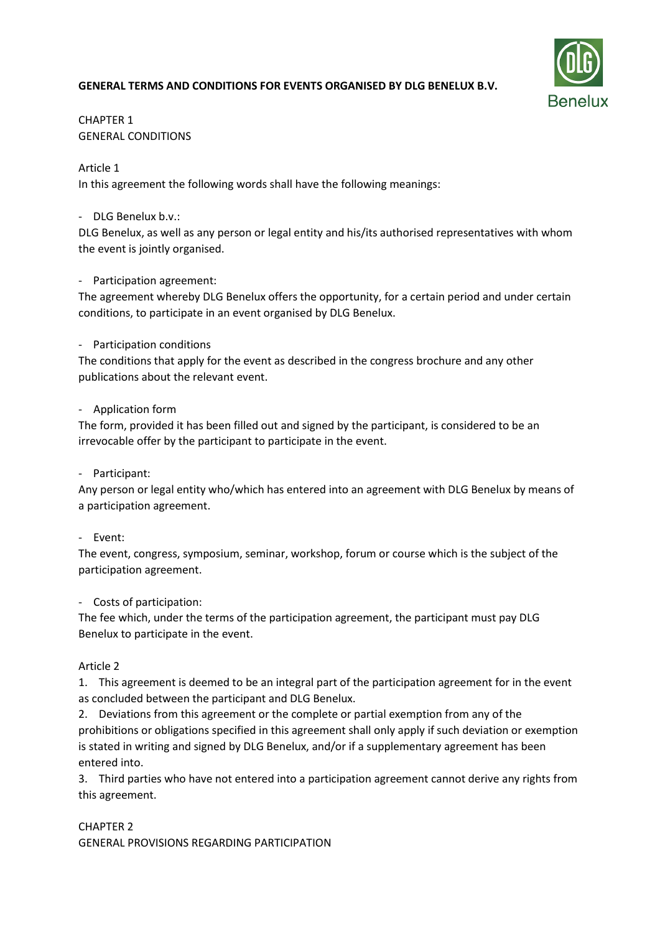# **GENERAL TERMS AND CONDITIONS FOR EVENTS ORGANISED BY DLG BENELUX B.V.**



# CHAPTER 1 GENERAL CONDITIONS

## Article 1

In this agreement the following words shall have the following meanings:

## - DLG Benelux b.v.:

DLG Benelux, as well as any person or legal entity and his/its authorised representatives with whom the event is jointly organised.

## - Participation agreement:

The agreement whereby DLG Benelux offers the opportunity, for a certain period and under certain conditions, to participate in an event organised by DLG Benelux.

## - Participation conditions

The conditions that apply for the event as described in the congress brochure and any other publications about the relevant event.

## - Application form

The form, provided it has been filled out and signed by the participant, is considered to be an irrevocable offer by the participant to participate in the event.

## - Participant:

Any person or legal entity who/which has entered into an agreement with DLG Benelux by means of a participation agreement.

#### - Event:

The event, congress, symposium, seminar, workshop, forum or course which is the subject of the participation agreement.

## - Costs of participation:

The fee which, under the terms of the participation agreement, the participant must pay DLG Benelux to participate in the event.

## Article 2

1. This agreement is deemed to be an integral part of the participation agreement for in the event as concluded between the participant and DLG Benelux.

2. Deviations from this agreement or the complete or partial exemption from any of the prohibitions or obligations specified in this agreement shall only apply if such deviation or exemption is stated in writing and signed by DLG Benelux, and/or if a supplementary agreement has been entered into.

3. Third parties who have not entered into a participation agreement cannot derive any rights from this agreement.

## CHAPTER 2

GENERAL PROVISIONS REGARDING PARTICIPATION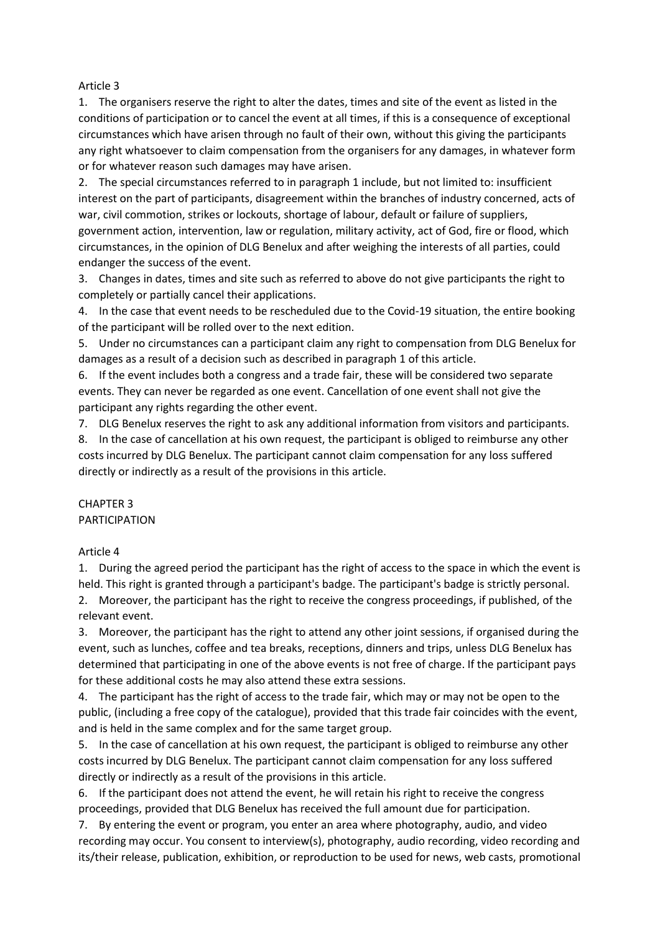### Article 3

1. The organisers reserve the right to alter the dates, times and site of the event as listed in the conditions of participation or to cancel the event at all times, if this is a consequence of exceptional circumstances which have arisen through no fault of their own, without this giving the participants any right whatsoever to claim compensation from the organisers for any damages, in whatever form or for whatever reason such damages may have arisen.

2. The special circumstances referred to in paragraph 1 include, but not limited to: insufficient interest on the part of participants, disagreement within the branches of industry concerned, acts of war, civil commotion, strikes or lockouts, shortage of labour, default or failure of suppliers, government action, intervention, law or regulation, military activity, act of God, fire or flood, which circumstances, in the opinion of DLG Benelux and after weighing the interests of all parties, could endanger the success of the event.

3. Changes in dates, times and site such as referred to above do not give participants the right to completely or partially cancel their applications.

4. In the case that event needs to be rescheduled due to the Covid-19 situation, the entire booking of the participant will be rolled over to the next edition.

5. Under no circumstances can a participant claim any right to compensation from DLG Benelux for damages as a result of a decision such as described in paragraph 1 of this article.

6. If the event includes both a congress and a trade fair, these will be considered two separate events. They can never be regarded as one event. Cancellation of one event shall not give the participant any rights regarding the other event.

7. DLG Benelux reserves the right to ask any additional information from visitors and participants.

8. In the case of cancellation at his own request, the participant is obliged to reimburse any other costs incurred by DLG Benelux. The participant cannot claim compensation for any loss suffered directly or indirectly as a result of the provisions in this article.

# CHAPTER 3 PARTICIPATION

## Article 4

1. During the agreed period the participant has the right of access to the space in which the event is held. This right is granted through a participant's badge. The participant's badge is strictly personal. 2. Moreover, the participant has the right to receive the congress proceedings, if published, of the relevant event.

3. Moreover, the participant has the right to attend any other joint sessions, if organised during the event, such as lunches, coffee and tea breaks, receptions, dinners and trips, unless DLG Benelux has determined that participating in one of the above events is not free of charge. If the participant pays for these additional costs he may also attend these extra sessions.

4. The participant has the right of access to the trade fair, which may or may not be open to the public, (including a free copy of the catalogue), provided that this trade fair coincides with the event, and is held in the same complex and for the same target group.

5. In the case of cancellation at his own request, the participant is obliged to reimburse any other costs incurred by DLG Benelux. The participant cannot claim compensation for any loss suffered directly or indirectly as a result of the provisions in this article.

6. If the participant does not attend the event, he will retain his right to receive the congress proceedings, provided that DLG Benelux has received the full amount due for participation.

7. By entering the event or program, you enter an area where photography, audio, and video recording may occur. You consent to interview(s), photography, audio recording, video recording and its/their release, publication, exhibition, or reproduction to be used for news, web casts, promotional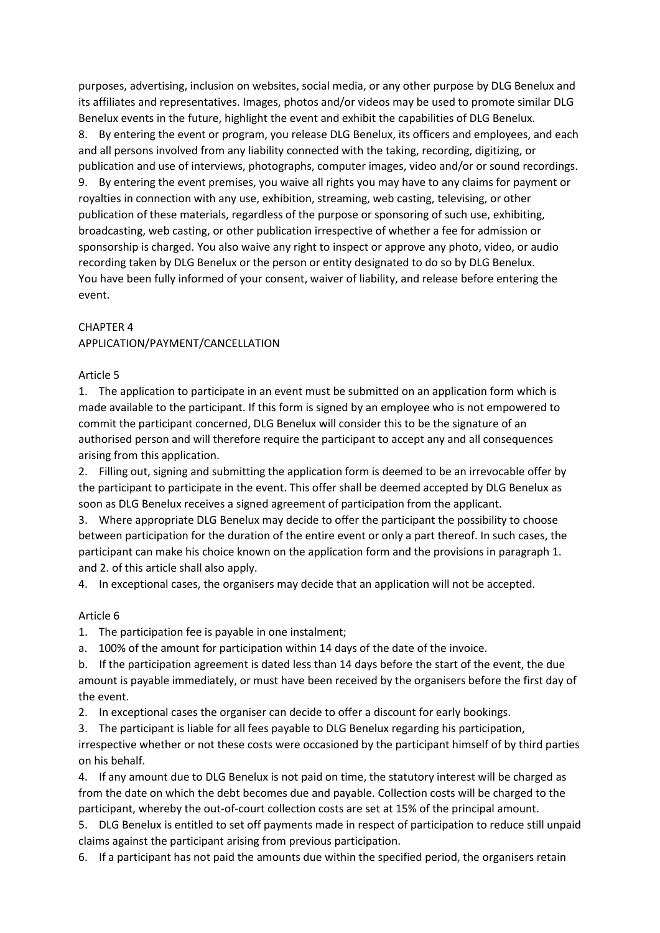purposes, advertising, inclusion on websites, social media, or any other purpose by DLG Benelux and its affiliates and representatives. Images, photos and/or videos may be used to promote similar DLG Benelux events in the future, highlight the event and exhibit the capabilities of DLG Benelux. 8. By entering the event or program, you release DLG Benelux, its officers and employees, and each and all persons involved from any liability connected with the taking, recording, digitizing, or publication and use of interviews, photographs, computer images, video and/or or sound recordings. 9. By entering the event premises, you waive all rights you may have to any claims for payment or royalties in connection with any use, exhibition, streaming, web casting, televising, or other publication of these materials, regardless of the purpose or sponsoring of such use, exhibiting, broadcasting, web casting, or other publication irrespective of whether a fee for admission or sponsorship is charged. You also waive any right to inspect or approve any photo, video, or audio recording taken by DLG Benelux or the person or entity designated to do so by DLG Benelux. You have been fully informed of your consent, waiver of liability, and release before entering the event.

## CHAPTER 4

## APPLICATION/PAYMENT/CANCELLATION

#### Article 5

1. The application to participate in an event must be submitted on an application form which is made available to the participant. If this form is signed by an employee who is not empowered to commit the participant concerned, DLG Benelux will consider this to be the signature of an authorised person and will therefore require the participant to accept any and all consequences arising from this application.

2. Filling out, signing and submitting the application form is deemed to be an irrevocable offer by the participant to participate in the event. This offer shall be deemed accepted by DLG Benelux as soon as DLG Benelux receives a signed agreement of participation from the applicant.

3. Where appropriate DLG Benelux may decide to offer the participant the possibility to choose between participation for the duration of the entire event or only a part thereof. In such cases, the participant can make his choice known on the application form and the provisions in paragraph 1. and 2. of this article shall also apply.

4. In exceptional cases, the organisers may decide that an application will not be accepted.

#### Article 6

1. The participation fee is payable in one instalment;

a. 100% of the amount for participation within 14 days of the date of the invoice.

b. If the participation agreement is dated less than 14 days before the start of the event, the due amount is payable immediately, or must have been received by the organisers before the first day of the event.

2. In exceptional cases the organiser can decide to offer a discount for early bookings.

3. The participant is liable for all fees payable to DLG Benelux regarding his participation, irrespective whether or not these costs were occasioned by the participant himself of by third parties on his behalf.

4. If any amount due to DLG Benelux is not paid on time, the statutory interest will be charged as from the date on which the debt becomes due and payable. Collection costs will be charged to the participant, whereby the out-of-court collection costs are set at 15% of the principal amount.

5. DLG Benelux is entitled to set off payments made in respect of participation to reduce still unpaid claims against the participant arising from previous participation.

6. If a participant has not paid the amounts due within the specified period, the organisers retain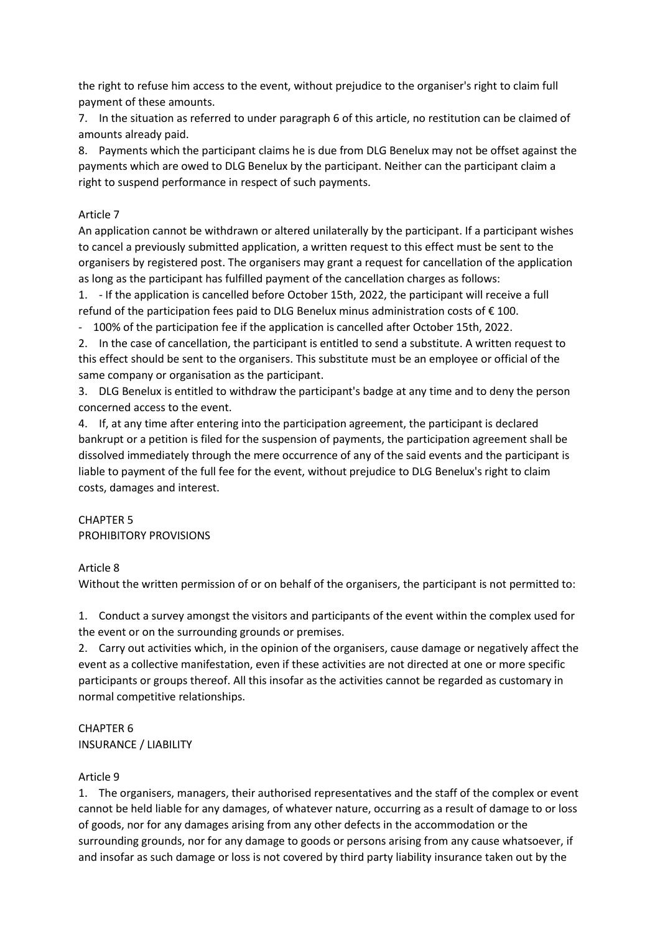the right to refuse him access to the event, without prejudice to the organiser's right to claim full payment of these amounts.

7. In the situation as referred to under paragraph 6 of this article, no restitution can be claimed of amounts already paid.

8. Payments which the participant claims he is due from DLG Benelux may not be offset against the payments which are owed to DLG Benelux by the participant. Neither can the participant claim a right to suspend performance in respect of such payments.

# Article 7

An application cannot be withdrawn or altered unilaterally by the participant. If a participant wishes to cancel a previously submitted application, a written request to this effect must be sent to the organisers by registered post. The organisers may grant a request for cancellation of the application as long as the participant has fulfilled payment of the cancellation charges as follows:

1. - If the application is cancelled before October 15th, 2022, the participant will receive a full refund of the participation fees paid to DLG Benelux minus administration costs of € 100.

- 100% of the participation fee if the application is cancelled after October 15th, 2022.

2. In the case of cancellation, the participant is entitled to send a substitute. A written request to this effect should be sent to the organisers. This substitute must be an employee or official of the same company or organisation as the participant.

3. DLG Benelux is entitled to withdraw the participant's badge at any time and to deny the person concerned access to the event.

4. If, at any time after entering into the participation agreement, the participant is declared bankrupt or a petition is filed for the suspension of payments, the participation agreement shall be dissolved immediately through the mere occurrence of any of the said events and the participant is liable to payment of the full fee for the event, without prejudice to DLG Benelux's right to claim costs, damages and interest.

# CHAPTER 5 PROHIBITORY PROVISIONS

# Article 8

Without the written permission of or on behalf of the organisers, the participant is not permitted to:

1. Conduct a survey amongst the visitors and participants of the event within the complex used for the event or on the surrounding grounds or premises.

2. Carry out activities which, in the opinion of the organisers, cause damage or negatively affect the event as a collective manifestation, even if these activities are not directed at one or more specific participants or groups thereof. All this insofar as the activities cannot be regarded as customary in normal competitive relationships.

# CHAPTER 6 INSURANCE / LIABILITY

# Article 9

1. The organisers, managers, their authorised representatives and the staff of the complex or event cannot be held liable for any damages, of whatever nature, occurring as a result of damage to or loss of goods, nor for any damages arising from any other defects in the accommodation or the surrounding grounds, nor for any damage to goods or persons arising from any cause whatsoever, if and insofar as such damage or loss is not covered by third party liability insurance taken out by the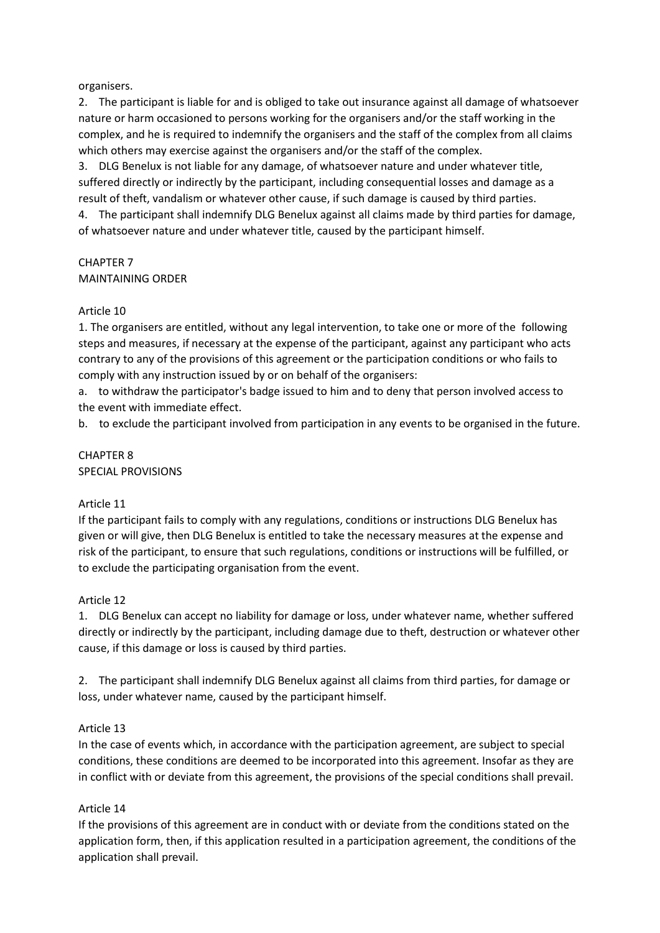## organisers.

2. The participant is liable for and is obliged to take out insurance against all damage of whatsoever nature or harm occasioned to persons working for the organisers and/or the staff working in the complex, and he is required to indemnify the organisers and the staff of the complex from all claims which others may exercise against the organisers and/or the staff of the complex.

3. DLG Benelux is not liable for any damage, of whatsoever nature and under whatever title, suffered directly or indirectly by the participant, including consequential losses and damage as a result of theft, vandalism or whatever other cause, if such damage is caused by third parties.

4. The participant shall indemnify DLG Benelux against all claims made by third parties for damage, of whatsoever nature and under whatever title, caused by the participant himself.

# CHAPTER 7 MAINTAINING ORDER

## Article 10

1. The organisers are entitled, without any legal intervention, to take one or more of the following steps and measures, if necessary at the expense of the participant, against any participant who acts contrary to any of the provisions of this agreement or the participation conditions or who fails to comply with any instruction issued by or on behalf of the organisers:

a. to withdraw the participator's badge issued to him and to deny that person involved access to the event with immediate effect.

b. to exclude the participant involved from participation in any events to be organised in the future.

#### CHAPTER 8 SPECIAL PROVISIONS

#### Article 11

If the participant fails to comply with any regulations, conditions or instructions DLG Benelux has given or will give, then DLG Benelux is entitled to take the necessary measures at the expense and risk of the participant, to ensure that such regulations, conditions or instructions will be fulfilled, or to exclude the participating organisation from the event.

#### Article 12

1. DLG Benelux can accept no liability for damage or loss, under whatever name, whether suffered directly or indirectly by the participant, including damage due to theft, destruction or whatever other cause, if this damage or loss is caused by third parties.

2. The participant shall indemnify DLG Benelux against all claims from third parties, for damage or loss, under whatever name, caused by the participant himself.

#### Article 13

In the case of events which, in accordance with the participation agreement, are subject to special conditions, these conditions are deemed to be incorporated into this agreement. Insofar as they are in conflict with or deviate from this agreement, the provisions of the special conditions shall prevail.

#### Article 14

If the provisions of this agreement are in conduct with or deviate from the conditions stated on the application form, then, if this application resulted in a participation agreement, the conditions of the application shall prevail.